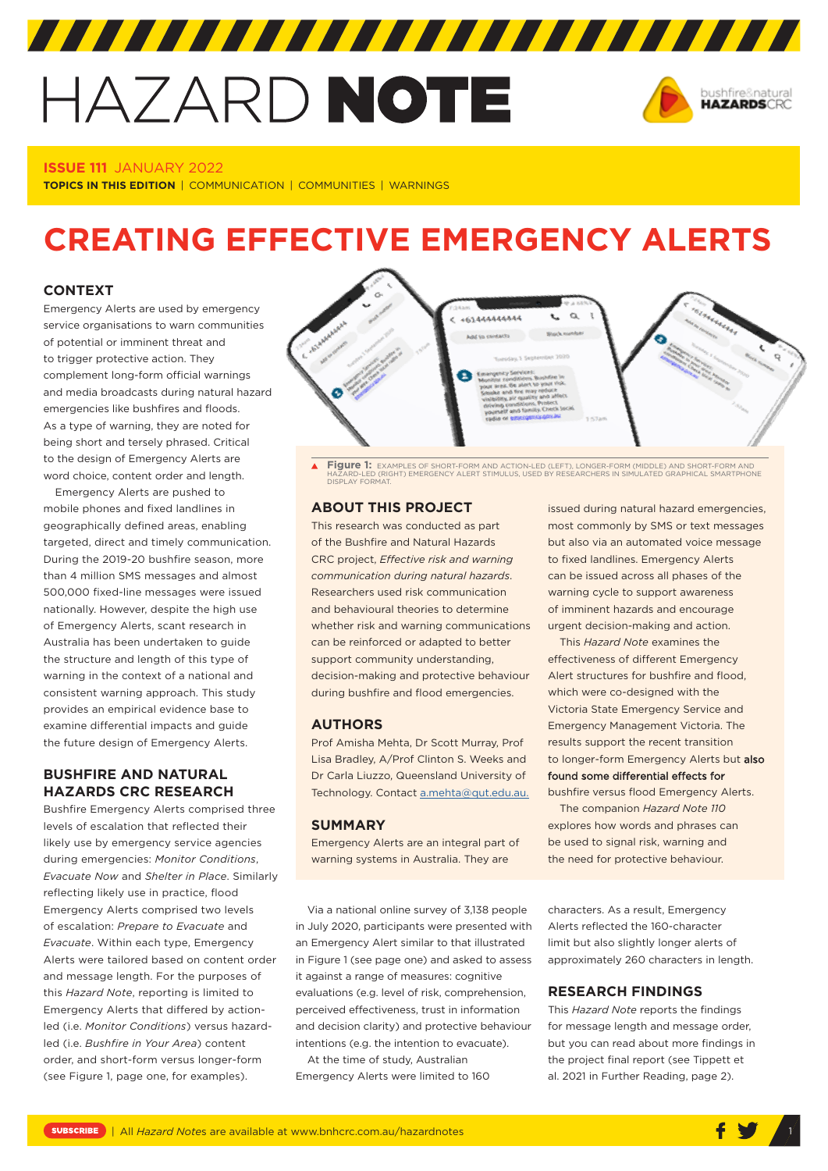# HAZARD NOTE



## **ISSUE 111** JANUARY 2022

**TOPICS IN THIS EDITION** | COMMUNICATION | COMMUNITIES | WARNINGS

# **CREATING EFFECTIVE EMERGENCY ALERTS**

# **CONTEXT**

Emergency Alerts are used by emergency service organisations to warn communities of potential or imminent threat and to trigger protective action. They complement long-form official warnings and media broadcasts during natural hazard emergencies like bushfires and floods. As a type of warning, they are noted for being short and tersely phrased. Critical to the design of Emergency Alerts are word choice, content order and length.

Emergency Alerts are pushed to mobile phones and fixed landlines in geographically defined areas, enabling targeted, direct and timely communication. During the 2019-20 bushfire season, more than 4 million SMS messages and almost 500,000 fixed-line messages were issued nationally. However, despite the high use of Emergency Alerts, scant research in Australia has been undertaken to guide the structure and length of this type of warning in the context of a national and consistent warning approach. This study provides an empirical evidence base to examine differential impacts and guide the future design of Emergency Alerts.

# **BUSHFIRE AND NATURAL HAZARDS CRC RESEARCH**

Bushfire Emergency Alerts comprised three levels of escalation that reflected their likely use by emergency service agencies during emergencies: *Monitor Conditions*, *Evacuate Now* and *Shelter in Place*. Similarly reflecting likely use in practice, flood Emergency Alerts comprised two levels of escalation: *Prepare to Evacuate* and *Evacuate*. Within each type, Emergency Alerts were tailored based on content order and message length. For the purposes of this *Hazard Note*, reporting is limited to Emergency Alerts that differed by actionled (i.e. *Monitor Conditions*) versus hazardled (i.e. *Bushfire in Your Area*) content order, and short-form versus longer-form (see Figure 1, page one, for examples).



 $\blacktriangle$ **Figure 1:** EXAMPLES OF SHORT-FORM AND ACTION-LED (LEFT), LONGER-FORM (MIDDLE) AND SHORT-FORM AND HAZARD-LED (RIGHT) EMERGENCY ALERT STIMULUS, USED BY RESEARCHERS IN SIMULATED GRAPHICAL SMARTPHONE HAZARD-LED (RIG<br>DISPLAY FORMAT

# **ABOUT THIS PROJECT**

This research was conducted as part of the Bushfire and Natural Hazards CRC project, *[Effective risk and warning](https://www.bnhcrc.com.au/research/riskcommunication)  [communication during natural hazards](https://www.bnhcrc.com.au/research/riskcommunication)*. Researchers used risk communication and behavioural theories to determine whether risk and warning communications can be reinforced or adapted to better support community understanding, decision-making and protective behaviour during bushfire and flood emergencies.

#### **AUTHORS**

Prof Amisha Mehta, Dr Scott Murray, Prof Lisa Bradley, A/Prof Clinton S. Weeks and Dr Carla Liuzzo, Queensland University of Technology. Contact [a.mehta@qut.edu.au](mailto:a.mehta@qut.edu.au).

# **SUMMARY**

Emergency Alerts are an integral part of warning systems in Australia. They are

Via a national online survey of 3,138 people in July 2020, participants were presented with an Emergency Alert similar to that illustrated in Figure 1 (see page one) and asked to assess it against a range of measures: cognitive evaluations (e.g. level of risk, comprehension, perceived effectiveness, trust in information and decision clarity) and protective behaviour intentions (e.g. the intention to evacuate).

At the time of study, Australian Emergency Alerts were limited to 160

issued during natural hazard emergencies, most commonly by SMS or text messages but also via an automated voice message to fixed landlines. Emergency Alerts can be issued across all phases of the warning cycle to support awareness of imminent hazards and encourage urgent decision-making and action.

This *Hazard Note* examines the effectiveness of different Emergency Alert structures for bushfire and flood, which were co-designed with the Victoria State Emergency Service and Emergency Management Victoria. The results support the recent transition to longer-form Emergency Alerts but also found some differential effects for bushfire versus flood Emergency Alerts.

The companion *Hazard Note 110* explores how words and phrases can be used to signal risk, warning and the need for protective behaviour.

characters. As a result, Emergency Alerts reflected the 160-character limit but also slightly longer alerts of approximately 260 characters in length.

## **RESEARCH FINDINGS**

This *Hazard Note* reports the findings for message length and message order, but you can read about more findings in the project final report (see Tippett et al. 2021 in Further Reading, page 2).